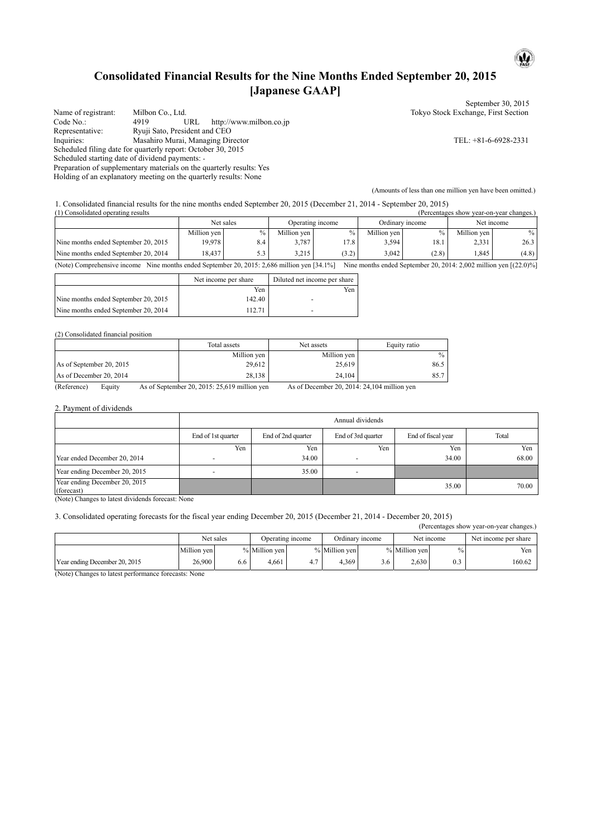# **Consolidated Financial Results for the Nine Months Ended September 20, 2015 [Japanese GAAP]**

|                                                 |                                                                      | September 30, 2015                  |
|-------------------------------------------------|----------------------------------------------------------------------|-------------------------------------|
| Name of registrant:                             | Milbon Co., Ltd.                                                     | Tokyo Stock Exchange, First Section |
| Code No.:                                       | http://www.milbon.co.jp<br>URL<br>4919                               |                                     |
| Representative:                                 | Ryuji Sato, President and CEO                                        |                                     |
| Inquiries:                                      | Masahiro Murai, Managing Director                                    | TEL: $+81-6-6928-2331$              |
|                                                 | Scheduled filing date for quarterly report: October 30, 2015         |                                     |
| Scheduled starting date of dividend payments: - |                                                                      |                                     |
|                                                 | Preparation of supplementary materials on the quarterly results: Yes |                                     |
|                                                 | Holding of an explanatory meeting on the quarterly results: None     |                                     |

(Amounts of less than one million yen have been omitted.)

 $\mathbf{u}$ 

1. Consolidated financial results for the nine months ended September 20, 2015 (December 21, 2014 - September 20, 2015)

| (1) Consolidated operating results<br>(Percentages show year-on-year changes.)                                                                                      |             |               |             |                  |             |                 |             |               |
|---------------------------------------------------------------------------------------------------------------------------------------------------------------------|-------------|---------------|-------------|------------------|-------------|-----------------|-------------|---------------|
|                                                                                                                                                                     |             | Net sales     |             | Operating income |             | Ordinary income |             | Net income    |
|                                                                                                                                                                     | Million yen | $\frac{0}{0}$ | Million yen | $\%$             | Million yen | $\%$ .          | Million yen | $\frac{0}{0}$ |
| Nine months ended September 20, 2015                                                                                                                                | 19.978      | 8.4           | 3.787       | 17.8             | 3,594       | 18.1            | 2,331       | 26.3          |
| Nine months ended September 20, 2014                                                                                                                                | 18.437      | 5.3           | 3.215       | (3.2)            | 3.042       | (2.8)           | .845        | (4.8)         |
| (Note) Comprehensive income Nine months ended September 20, 2015: 2,686 million yen [34.1%]<br>Nine months ended September 20, 2014: 2,002 million yen $[(22.0)\%]$ |             |               |             |                  |             |                 |             |               |

|                                      | Net income per share | Diluted net income per share |
|--------------------------------------|----------------------|------------------------------|
|                                      | Yen                  | Yen                          |
| Nine months ended September 20, 2015 | 142.40               |                              |
| Nine months ended September 20, 2014 | 112.71               |                              |

(2) Consolidated financial position

|                          | Total assets | Net assets  | Equity ratio |
|--------------------------|--------------|-------------|--------------|
|                          | Million yen  | Million yen | $\%$         |
| As of September 20, 2015 | 29,612       | 25,619      | 86.5         |
| As of December 20, 2014  | 28,138       | 24.104      | 85.7         |

(Reference) Equity As of September 20, 2015: 25,619 million yen As of December 20, 2014: 24,104 million yen

2. Payment of dividends

|                                                                                                                         | Annual dividends         |                                                                         |     |       |       |  |  |  |  |
|-------------------------------------------------------------------------------------------------------------------------|--------------------------|-------------------------------------------------------------------------|-----|-------|-------|--|--|--|--|
|                                                                                                                         | End of 1st quarter       | End of 3rd quarter<br>End of fiscal year<br>End of 2nd quarter<br>Total |     |       |       |  |  |  |  |
|                                                                                                                         | Yen                      | Yen                                                                     | Yen | Yen   | Yen   |  |  |  |  |
| Year ended December 20, 2014                                                                                            | $\overline{\phantom{0}}$ | 34.00                                                                   |     | 34.00 | 68.00 |  |  |  |  |
| Year ending December 20, 2015                                                                                           | -                        | 35.00                                                                   |     |       |       |  |  |  |  |
| Year ending December 20, 2015<br>(forecast)<br>$\alpha$ <sup>T</sup> $\alpha$ <sup>1</sup><br>$-1$ , $-1$ , $-1$ , $-1$ | $\mathbf{1}$             |                                                                         |     | 35.00 | 70.00 |  |  |  |  |

(Note) Changes to latest dividends forecast: None

3. Consolidated operating forecasts for the fiscal year ending December 20, 2015 (December 21, 2014 - December 20, 2015)

(Percentages show year-on-year changes.)

|                               |             | Net sales | Operating income |     | Ordinary income |     | Net income    |     | Net income per share |
|-------------------------------|-------------|-----------|------------------|-----|-----------------|-----|---------------|-----|----------------------|
|                               | Million yen |           | % Million yen    |     | % Million yen   |     | % Million yen |     | Yen                  |
| Year ending December 20, 2015 | 26,900      | 0.0       | 4.661            | 4., | 4,369           | 3.6 | 2.630         | U.J | 160.62               |

(Note) Changes to latest performance forecasts: None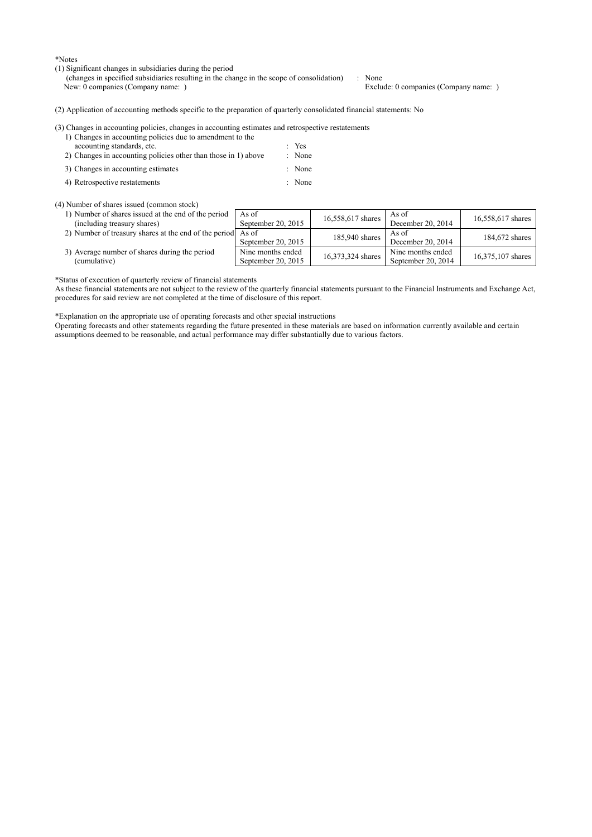\*Notes

- (1) Significant changes in subsidiaries during the period
	- (changes in specified subsidiaries resulting in the change in the scope of consolidation) : None<br>New: 0 companies (Company name: ) Exclu Exclude: 0 companies (Company name: )

(2) Application of accounting methods specific to the preparation of quarterly consolidated financial statements: No

| (3) Changes in accounting policies, changes in accounting estimates and retrospective restatements |                  |
|----------------------------------------------------------------------------------------------------|------------------|
| 1) Changes in accounting policies due to amendment to the                                          |                  |
| accounting standards, etc.                                                                         | $\therefore$ Yes |
| 2) Changes in accounting policies other than those in 1) above                                     | : None           |

- 3) Changes in accounting estimates : None
- 4) Retrospective restatements : None

## (4) Number of shares issued (common stock)

1) Number of shares issued at the end of the period (including treasury shares) As of As of<br>September 20, 2015  $\begin{array}{|l|} 16,558,617 \text{ shares} } \end{array}$  As of As of<br>December 20, 2014 16,558,617 shares 2) Number of treasury shares at the end of the period As of As of<br>September 20, 2015 185,940 shares Becer As 01<br>December 20, 2014 184,672 shares

Nine months ended

3) Average number of shares during the period (cumulative)

\*Status of execution of quarterly review of financial statements

As these financial statements are not subject to the review of the quarterly financial statements pursuant to the Financial Instruments and Exchange Act, procedures for said review are not completed at the time of disclosure of this report.

Nine months ended<br>September 20, 2015 16,373,324 shares September 20, 2014

September 20, 2014  $\left| \right|$  16,375,107 shares

\*Explanation on the appropriate use of operating forecasts and other special instructions

Operating forecasts and other statements regarding the future presented in these materials are based on information currently available and certain assumptions deemed to be reasonable, and actual performance may differ substantially due to various factors.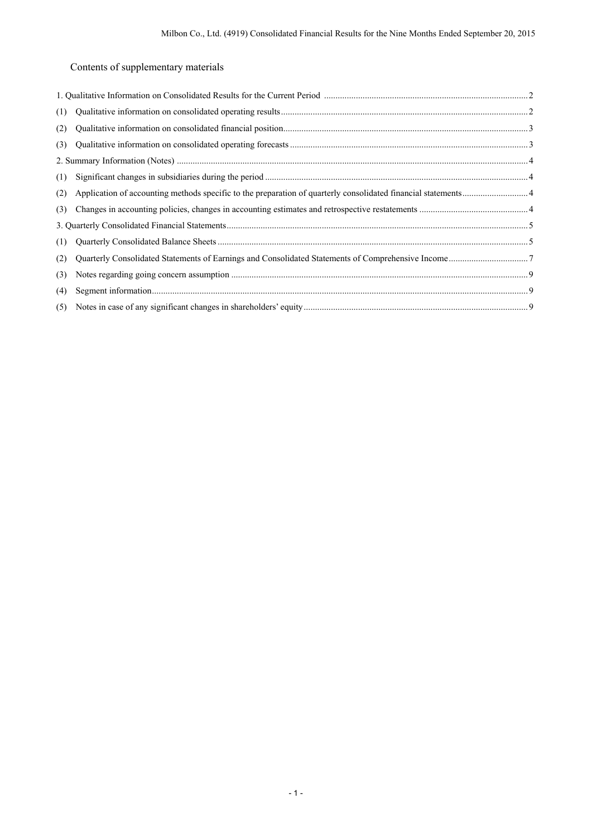# Contents of supplementary materials

| (1) |  |
|-----|--|
| (2) |  |
| (3) |  |
|     |  |
| (1) |  |
| (2) |  |
| (3) |  |
|     |  |
| (1) |  |
| (2) |  |
| (3) |  |
| (4) |  |
| (5) |  |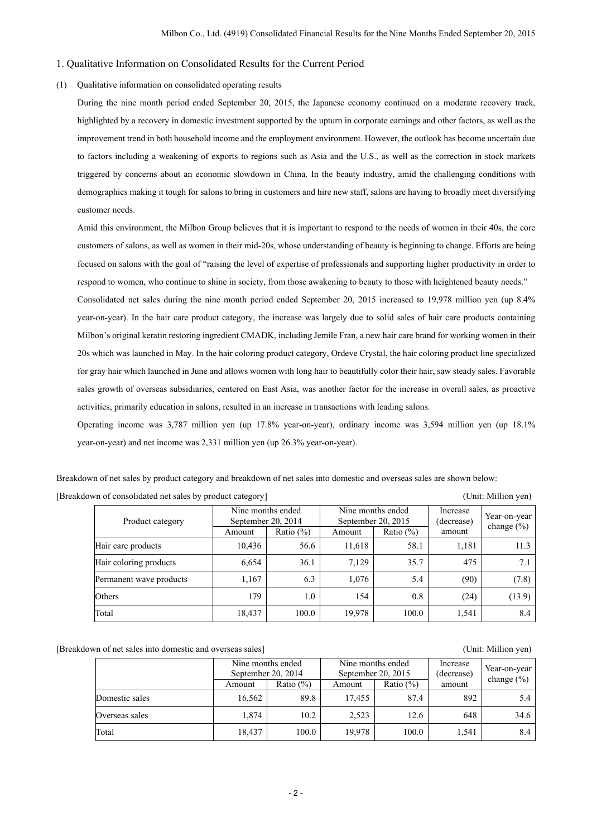#### 1. Qualitative Information on Consolidated Results for the Current Period

## (1) Qualitative information on consolidated operating results

During the nine month period ended September 20, 2015, the Japanese economy continued on a moderate recovery track, highlighted by a recovery in domestic investment supported by the upturn in corporate earnings and other factors, as well as the improvement trend in both household income and the employment environment. However, the outlook has become uncertain due to factors including a weakening of exports to regions such as Asia and the U.S., as well as the correction in stock markets triggered by concerns about an economic slowdown in China. In the beauty industry, amid the challenging conditions with demographics making it tough for salons to bring in customers and hire new staff, salons are having to broadly meet diversifying customer needs.

Amid this environment, the Milbon Group believes that it is important to respond to the needs of women in their 40s, the core customers of salons, as well as women in their mid-20s, whose understanding of beauty is beginning to change. Efforts are being focused on salons with the goal of "raising the level of expertise of professionals and supporting higher productivity in order to respond to women, who continue to shine in society, from those awakening to beauty to those with heightened beauty needs."

Consolidated net sales during the nine month period ended September 20, 2015 increased to 19,978 million yen (up 8.4% year-on-year). In the hair care product category, the increase was largely due to solid sales of hair care products containing Milbon's original keratin restoring ingredient CMADK, including Jemile Fran, a new hair care brand for working women in their 20s which was launched in May. In the hair coloring product category, Ordeve Crystal, the hair coloring product line specialized for gray hair which launched in June and allows women with long hair to beautifully color their hair, saw steady sales. Favorable sales growth of overseas subsidiaries, centered on East Asia, was another factor for the increase in overall sales, as proactive activities, primarily education in salons, resulted in an increase in transactions with leading salons.

Operating income was 3,787 million yen (up 17.8% year-on-year), ordinary income was 3,594 million yen (up 18.1% year-on-year) and net income was 2,331 million yen (up 26.3% year-on-year).

Breakdown of net sales by product category and breakdown of net sales into domestic and overseas sales are shown below: [Breakdown of consolidated net sales by product category] (Unit: Million yen)

| Product category        | Nine months ended<br>September 20, 2014 |               | September 20, 2015 | Nine months ended | Increase<br>(decrease) | Year-on-year<br>change $(\% )$ |
|-------------------------|-----------------------------------------|---------------|--------------------|-------------------|------------------------|--------------------------------|
|                         | Amount                                  | Ratio $(\% )$ | Amount             | Ratio $(\%)$      | amount                 |                                |
| Hair care products      | 10,436                                  | 56.6          | 11,618             | 58.1              | 1,181                  | 11.3                           |
| Hair coloring products  | 6,654                                   | 36.1          | 7,129              | 35.7              | 475                    | 7.1                            |
| Permanent wave products | 1,167                                   | 6.3           | 1,076              | 5.4               | (90)                   | (7.8)                          |
| Others                  | 179                                     | 1.0           | 154                | 0.8               | (24)                   | (13.9)                         |
| Total                   | 18,437                                  | 100.0         | 19,978             | 100.0             | 1,541                  | 8.4                            |

[Breakdown of net sales into domestic and overseas sales] (Unit: Million yen)

 Nine months ended September 20, 2014 Nine months ended September 20, 2015 Increase (decrease) amount Year-on-year Experiment 20, 2014<br>Amount Ratio (%) Amount Ratio (%) amount change (%) Domestic sales 16,562 89.8 17,455 87.4 892 5.4 Overseas sales 1,874 10.2 2,523 12.6 648 34.6 Total 18,437 | 100.0 | 19,978 | 100.0 | 1,541 | 8.4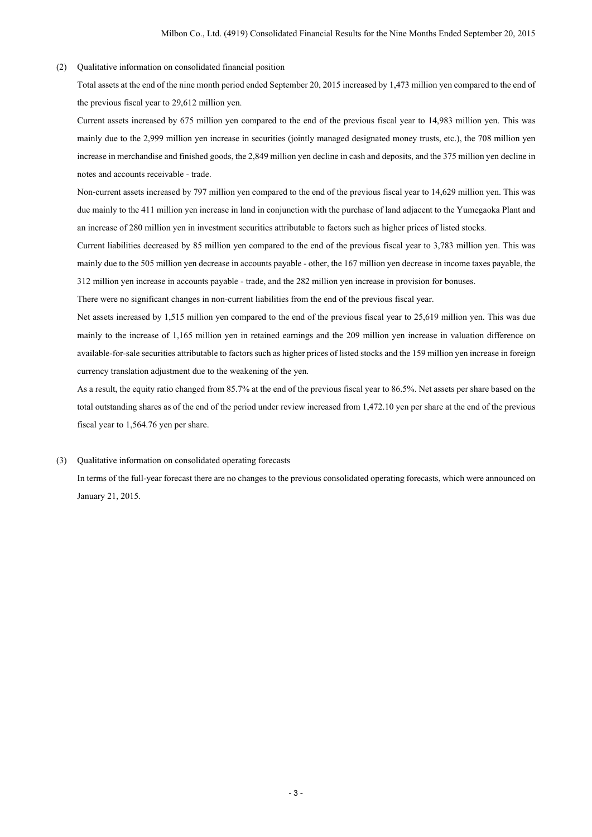(2) Qualitative information on consolidated financial position

Total assets at the end of the nine month period ended September 20, 2015 increased by 1,473 million yen compared to the end of the previous fiscal year to 29,612 million yen.

Current assets increased by 675 million yen compared to the end of the previous fiscal year to 14,983 million yen. This was mainly due to the 2,999 million yen increase in securities (jointly managed designated money trusts, etc.), the 708 million yen increase in merchandise and finished goods, the 2,849 million yen decline in cash and deposits, and the 375 million yen decline in notes and accounts receivable - trade.

Non-current assets increased by 797 million yen compared to the end of the previous fiscal year to 14,629 million yen. This was due mainly to the 411 million yen increase in land in conjunction with the purchase of land adjacent to the Yumegaoka Plant and an increase of 280 million yen in investment securities attributable to factors such as higher prices of listed stocks.

Current liabilities decreased by 85 million yen compared to the end of the previous fiscal year to 3,783 million yen. This was mainly due to the 505 million yen decrease in accounts payable - other, the 167 million yen decrease in income taxes payable, the 312 million yen increase in accounts payable - trade, and the 282 million yen increase in provision for bonuses.

There were no significant changes in non-current liabilities from the end of the previous fiscal year.

Net assets increased by 1,515 million yen compared to the end of the previous fiscal year to 25,619 million yen. This was due mainly to the increase of 1,165 million yen in retained earnings and the 209 million yen increase in valuation difference on available-for-sale securities attributable to factors such as higher prices of listed stocks and the 159 million yen increase in foreign currency translation adjustment due to the weakening of the yen.

As a result, the equity ratio changed from 85.7% at the end of the previous fiscal year to 86.5%. Net assets per share based on the total outstanding shares as of the end of the period under review increased from 1,472.10 yen per share at the end of the previous fiscal year to 1,564.76 yen per share.

## (3) Qualitative information on consolidated operating forecasts

In terms of the full-year forecast there are no changes to the previous consolidated operating forecasts, which were announced on January 21, 2015.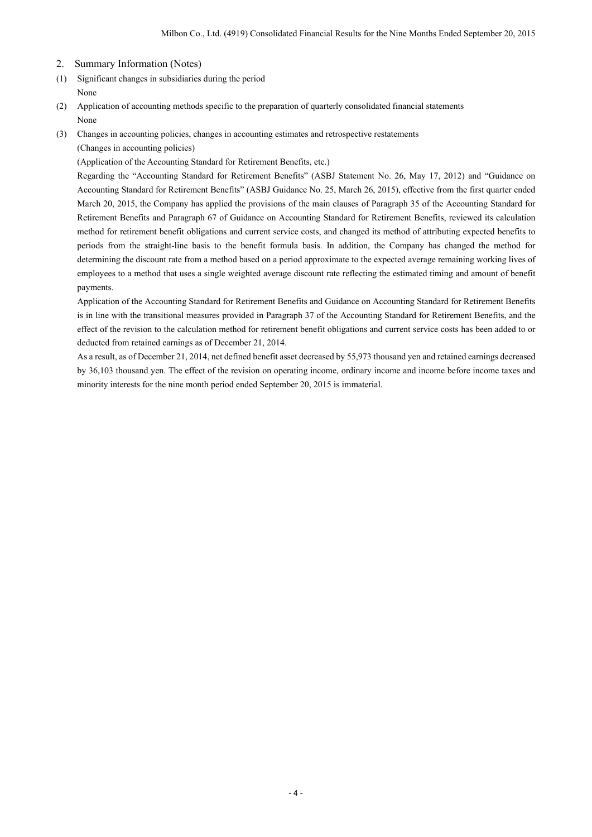- 2. Summary Information (Notes)
- (1) Significant changes in subsidiaries during the period None
- (2) Application of accounting methods specific to the preparation of quarterly consolidated financial statements None
- (3) Changes in accounting policies, changes in accounting estimates and retrospective restatements

(Changes in accounting policies)

(Application of the Accounting Standard for Retirement Benefits, etc.)

Regarding the "Accounting Standard for Retirement Benefits" (ASBJ Statement No. 26, May 17, 2012) and "Guidance on Accounting Standard for Retirement Benefits" (ASBJ Guidance No. 25, March 26, 2015), effective from the first quarter ended March 20, 2015, the Company has applied the provisions of the main clauses of Paragraph 35 of the Accounting Standard for Retirement Benefits and Paragraph 67 of Guidance on Accounting Standard for Retirement Benefits, reviewed its calculation method for retirement benefit obligations and current service costs, and changed its method of attributing expected benefits to periods from the straight-line basis to the benefit formula basis. In addition, the Company has changed the method for determining the discount rate from a method based on a period approximate to the expected average remaining working lives of employees to a method that uses a single weighted average discount rate reflecting the estimated timing and amount of benefit payments.

Application of the Accounting Standard for Retirement Benefits and Guidance on Accounting Standard for Retirement Benefits is in line with the transitional measures provided in Paragraph 37 of the Accounting Standard for Retirement Benefits, and the effect of the revision to the calculation method for retirement benefit obligations and current service costs has been added to or deducted from retained earnings as of December 21, 2014.

As a result, as of December 21, 2014, net defined benefit asset decreased by 55,973 thousand yen and retained earnings decreased by 36,103 thousand yen. The effect of the revision on operating income, ordinary income and income before income taxes and minority interests for the nine month period ended September 20, 2015 is immaterial.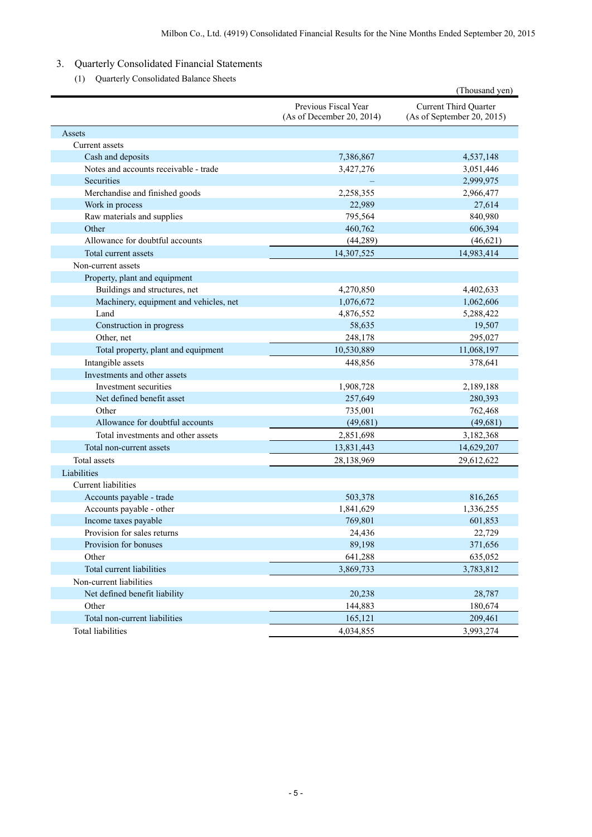# 3. Quarterly Consolidated Financial Statements

(1) Quarterly Consolidated Balance Sheets

|                                        |                                                   | (Thousand yen)                                             |
|----------------------------------------|---------------------------------------------------|------------------------------------------------------------|
|                                        | Previous Fiscal Year<br>(As of December 20, 2014) | <b>Current Third Quarter</b><br>(As of September 20, 2015) |
| Assets                                 |                                                   |                                                            |
| Current assets                         |                                                   |                                                            |
| Cash and deposits                      | 7,386,867                                         | 4,537,148                                                  |
| Notes and accounts receivable - trade  | 3,427,276                                         | 3,051,446                                                  |
| Securities                             |                                                   | 2,999,975                                                  |
| Merchandise and finished goods         | 2,258,355                                         | 2,966,477                                                  |
| Work in process                        | 22,989                                            | 27,614                                                     |
| Raw materials and supplies             | 795,564                                           | 840,980                                                    |
| Other                                  | 460,762                                           | 606,394                                                    |
| Allowance for doubtful accounts        | (44, 289)                                         | (46, 621)                                                  |
| Total current assets                   | 14,307,525                                        | 14,983,414                                                 |
| Non-current assets                     |                                                   |                                                            |
| Property, plant and equipment          |                                                   |                                                            |
| Buildings and structures, net          | 4,270,850                                         | 4,402,633                                                  |
| Machinery, equipment and vehicles, net | 1,076,672                                         | 1,062,606                                                  |
| Land                                   | 4,876,552                                         | 5,288,422                                                  |
| Construction in progress               | 58,635                                            | 19,507                                                     |
| Other, net                             | 248,178                                           | 295,027                                                    |
| Total property, plant and equipment    | 10,530,889                                        | 11,068,197                                                 |
| Intangible assets                      | 448,856                                           | 378,641                                                    |
| Investments and other assets           |                                                   |                                                            |
| Investment securities                  | 1,908,728                                         | 2,189,188                                                  |
| Net defined benefit asset              | 257,649                                           | 280,393                                                    |
| Other                                  | 735,001                                           | 762,468                                                    |
| Allowance for doubtful accounts        | (49, 681)                                         | (49, 681)                                                  |
| Total investments and other assets     | 2,851,698                                         | 3,182,368                                                  |
| Total non-current assets               | 13,831,443                                        | 14,629,207                                                 |
| Total assets                           | 28,138,969                                        | 29,612,622                                                 |
| Liabilities                            |                                                   |                                                            |
| Current liabilities                    |                                                   |                                                            |
| Accounts payable - trade               | 503,378                                           | 816,265                                                    |
| Accounts payable - other               | 1,841,629                                         | 1,336,255                                                  |
| Income taxes payable                   | 769,801                                           | 601,853                                                    |
| Provision for sales returns            | 24,436                                            | 22,729                                                     |
| Provision for bonuses                  | 89,198                                            | 371,656                                                    |
| Other                                  | 641,288                                           | 635,052                                                    |
| Total current liabilities              | 3,869,733                                         | 3,783,812                                                  |
| Non-current liabilities                |                                                   |                                                            |
| Net defined benefit liability          | 20,238                                            | 28,787                                                     |
| Other                                  | 144,883                                           | 180,674                                                    |
| Total non-current liabilities          | 165,121                                           | 209,461                                                    |
| <b>Total liabilities</b>               | 4,034,855                                         | 3,993,274                                                  |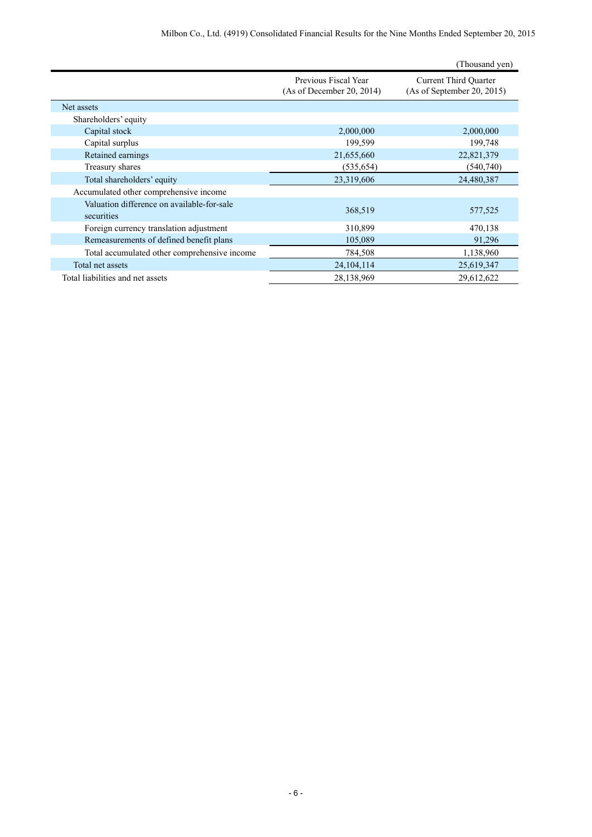|                                                          |                                                   | (Thousand yen)                                             |
|----------------------------------------------------------|---------------------------------------------------|------------------------------------------------------------|
|                                                          | Previous Fiscal Year<br>(As of December 20, 2014) | <b>Current Third Quarter</b><br>(As of September 20, 2015) |
| Net assets                                               |                                                   |                                                            |
| Shareholders' equity                                     |                                                   |                                                            |
| Capital stock                                            | 2,000,000                                         | 2,000,000                                                  |
| Capital surplus                                          | 199,599                                           | 199,748                                                    |
| Retained earnings                                        | 21,655,660                                        | 22,821,379                                                 |
| Treasury shares                                          | (535, 654)                                        | (540,740)                                                  |
| Total shareholders' equity                               | 23,319,606                                        | 24,480,387                                                 |
| Accumulated other comprehensive income                   |                                                   |                                                            |
| Valuation difference on available-for-sale<br>securities | 368,519                                           | 577,525                                                    |
| Foreign currency translation adjustment                  | 310,899                                           | 470,138                                                    |
| Remeasurements of defined benefit plans                  | 105,089                                           | 91,296                                                     |
| Total accumulated other comprehensive income             | 784,508                                           | 1,138,960                                                  |
| Total net assets                                         | 24, 104, 114                                      | 25,619,347                                                 |
| Total liabilities and net assets                         | 28,138,969                                        | 29,612,622                                                 |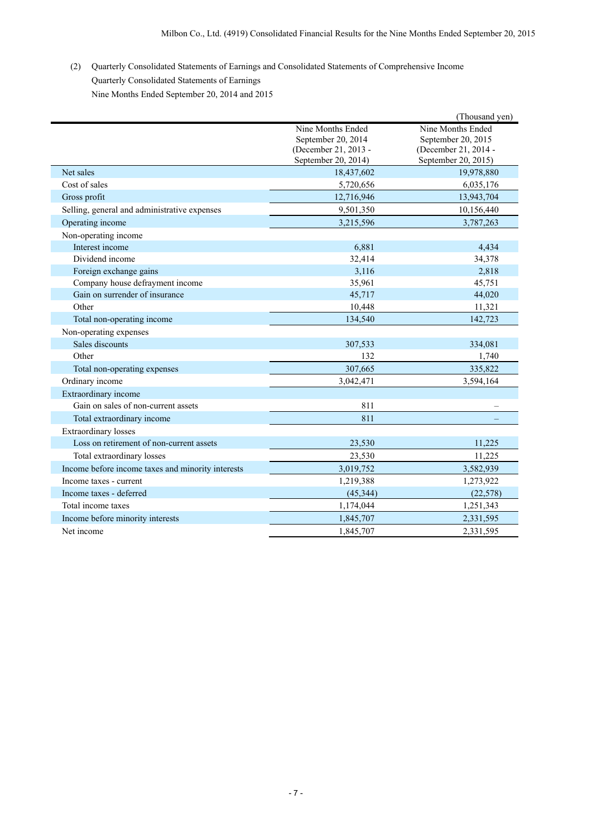(2) Quarterly Consolidated Statements of Earnings and Consolidated Statements of Comprehensive Income Quarterly Consolidated Statements of Earnings Nine Months Ended September 20, 2014 and 2015

|                                                   |                      | (Thousand yen)       |
|---------------------------------------------------|----------------------|----------------------|
|                                                   | Nine Months Ended    | Nine Months Ended    |
|                                                   | September 20, 2014   | September 20, 2015   |
|                                                   | (December 21, 2013 - | (December 21, 2014 - |
|                                                   | September 20, 2014)  | September 20, 2015)  |
| Net sales                                         | 18,437,602           | 19,978,880           |
| Cost of sales                                     | 5,720,656            | 6,035,176            |
| Gross profit                                      | 12,716,946           | 13,943,704           |
| Selling, general and administrative expenses      | 9,501,350            | 10,156,440           |
| Operating income                                  | 3,215,596            | 3,787,263            |
| Non-operating income                              |                      |                      |
| Interest income                                   | 6,881                | 4,434                |
| Dividend income                                   | 32,414               | 34,378               |
| Foreign exchange gains                            | 3,116                | 2,818                |
| Company house defrayment income                   | 35,961               | 45,751               |
| Gain on surrender of insurance                    | 45,717               | 44,020               |
| Other                                             | 10,448               | 11,321               |
| Total non-operating income                        | 134,540              | 142,723              |
| Non-operating expenses                            |                      |                      |
| Sales discounts                                   | 307,533              | 334,081              |
| Other                                             | 132                  | 1,740                |
| Total non-operating expenses                      | 307,665              | 335,822              |
| Ordinary income                                   | 3,042,471            | 3,594,164            |
| Extraordinary income                              |                      |                      |
| Gain on sales of non-current assets               | 811                  |                      |
| Total extraordinary income                        | 811                  |                      |
| Extraordinary losses                              |                      |                      |
| Loss on retirement of non-current assets          | 23,530               | 11,225               |
| Total extraordinary losses                        | 23,530               | 11,225               |
| Income before income taxes and minority interests | 3,019,752            | 3,582,939            |
| Income taxes - current                            | 1,219,388            | 1,273,922            |
| Income taxes - deferred                           | (45, 344)            | (22, 578)            |
| Total income taxes                                | 1,174,044            | 1,251,343            |
| Income before minority interests                  | 1,845,707            | 2,331,595            |
| Net income                                        | 1,845,707            | 2,331,595            |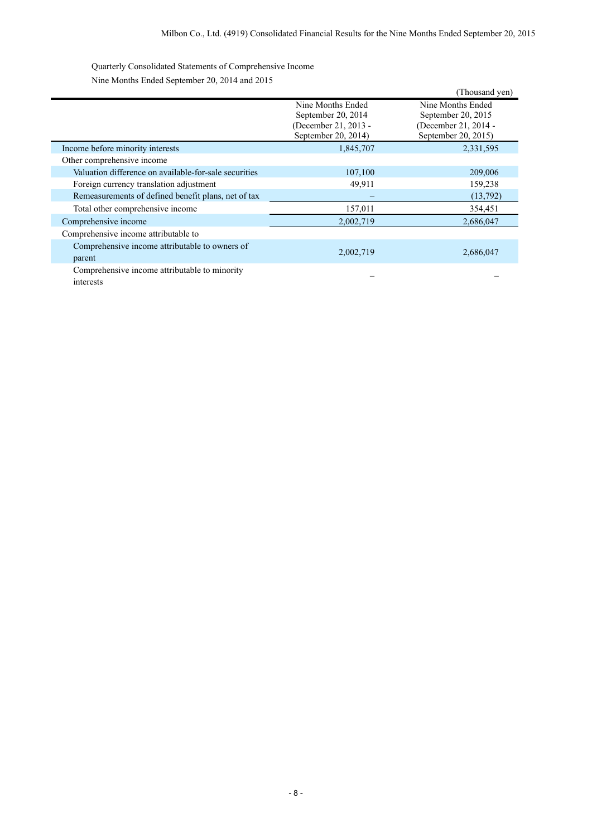Quarterly Consolidated Statements of Comprehensive Income Nine Months Ended September 20, 2014 and 2015

|                                                       |                                                                                        | (Thousand yen)                                                                         |
|-------------------------------------------------------|----------------------------------------------------------------------------------------|----------------------------------------------------------------------------------------|
|                                                       | Nine Months Ended<br>September 20, 2014<br>(December 21, 2013 -<br>September 20, 2014) | Nine Months Ended<br>September 20, 2015<br>(December 21, 2014 -<br>September 20, 2015) |
| Income before minority interests                      | 1,845,707                                                                              | 2,331,595                                                                              |
| Other comprehensive income                            |                                                                                        |                                                                                        |
| Valuation difference on available-for-sale securities | 107,100                                                                                | 209,006                                                                                |
| Foreign currency translation adjustment               | 49,911                                                                                 | 159,238                                                                                |
| Remeasurements of defined benefit plans, net of tax   |                                                                                        | (13,792)                                                                               |
| Total other comprehensive income                      | 157,011                                                                                | 354,451                                                                                |
| Comprehensive income                                  | 2,002,719                                                                              | 2,686,047                                                                              |
| Comprehensive income attributable to                  |                                                                                        |                                                                                        |
| Comprehensive income attributable to owners of        | 2,002,719                                                                              | 2,686,047                                                                              |
| parent                                                |                                                                                        |                                                                                        |
| Comprehensive income attributable to minority         |                                                                                        |                                                                                        |
| interests                                             |                                                                                        |                                                                                        |